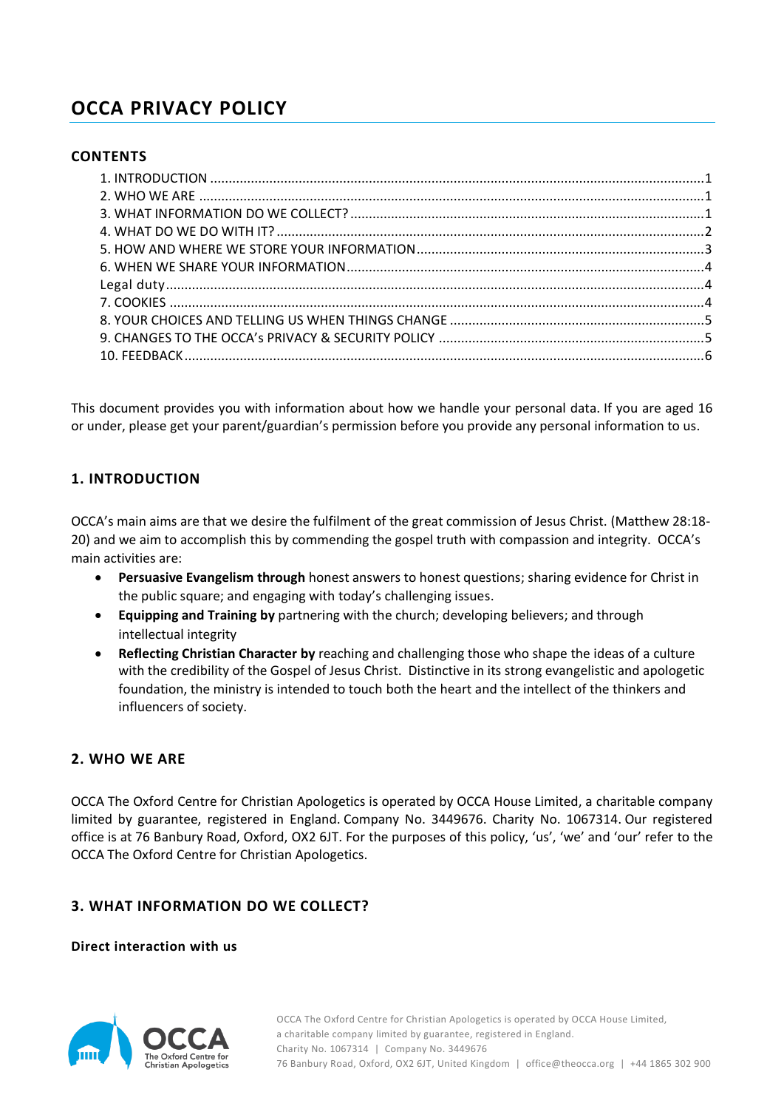# **OCCA PRIVACY POLICY**

## **CONTENTS**

This document provides you with information about how we handle your personal data. If you are aged 16 or under, please get your parent/guardian's permission before you provide any personal information to us.

## <span id="page-0-0"></span>**1. INTRODUCTION**

OCCA's main aims are that we desire the fulfilment of the great commission of Jesus Christ. (Matthew 28:18- 20) and we aim to accomplish this by commending the gospel truth with compassion and integrity. OCCA's main activities are:

- **Persuasive Evangelism through** honest answers to honest questions; sharing evidence for Christ in the public square; and engaging with today's challenging issues.
- **Equipping and Training by** partnering with the church; developing believers; and through intellectual integrity
- **Reflecting Christian Character by** reaching and challenging those who shape the ideas of a culture with the credibility of the Gospel of Jesus Christ. Distinctive in its strong evangelistic and apologetic foundation, the ministry is intended to touch both the heart and the intellect of the thinkers and influencers of society.

## <span id="page-0-1"></span>**2. WHO WE ARE**

OCCA The Oxford Centre for Christian Apologetics is operated by OCCA House Limited, a charitable company limited by guarantee, registered in England. Company No. 3449676. Charity No. 1067314. Our registered office is at 76 Banbury Road, Oxford, OX2 6JT. For the purposes of this policy, 'us', 'we' and 'our' refer to the OCCA The Oxford Centre for Christian Apologetics.

## <span id="page-0-2"></span>**3. WHAT INFORMATION DO WE COLLECT?**

**Direct interaction with us**

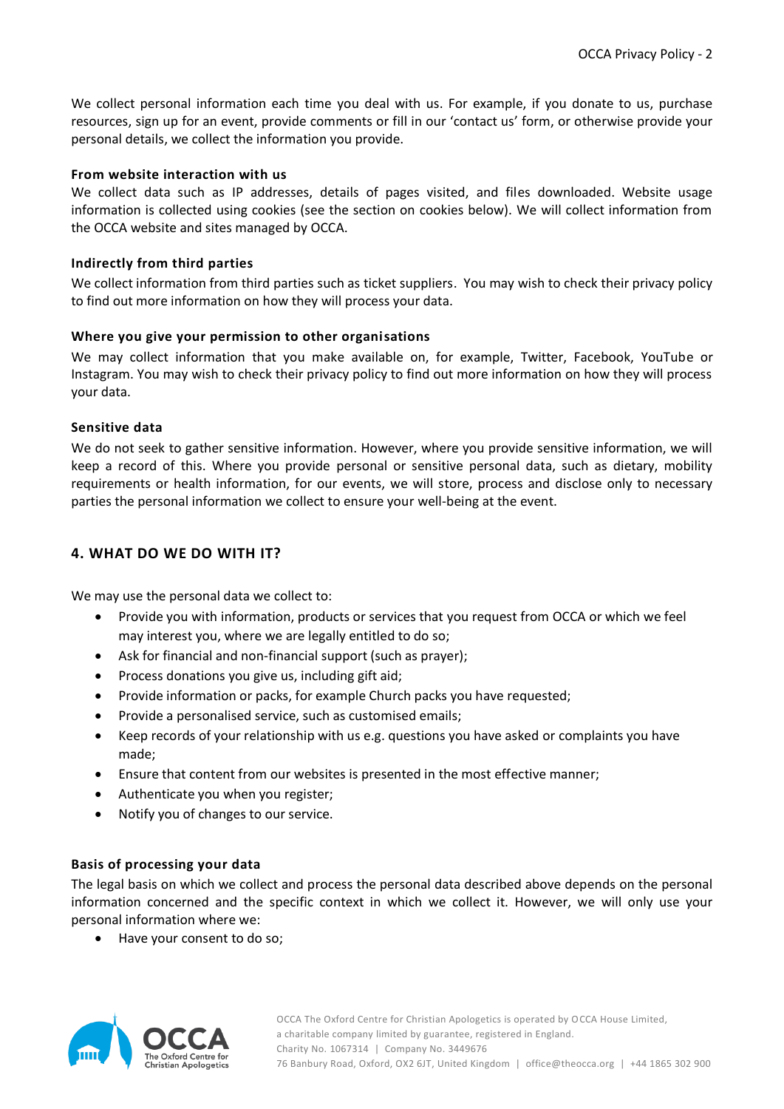We collect personal information each time you deal with us. For example, if you donate to us, purchase resources, sign up for an event, provide comments or fill in our 'contact us' form, or otherwise provide your personal details, we collect the information you provide.

#### **From website interaction with us**

We collect data such as IP addresses, details of pages visited, and files downloaded. Website usage information is collected using cookies (see the section on cookies below). We will collect information from the OCCA website and sites managed by OCCA.

#### **Indirectly from third parties**

We collect information from third parties such as ticket suppliers. You may wish to check their privacy policy to find out more information on how they will process your data.

## **Where you give your permission to other organisations**

We may collect information that you make available on, for example, Twitter, Facebook, YouTube or Instagram. You may wish to check their privacy policy to find out more information on how they will process your data.

## **Sensitive data**

We do not seek to gather sensitive information. However, where you provide sensitive information, we will keep a record of this. Where you provide personal or sensitive personal data, such as dietary, mobility requirements or health information, for our events, we will store, process and disclose only to necessary parties the personal information we collect to ensure your well-being at the event.

# <span id="page-1-0"></span>**4. WHAT DO WE DO WITH IT?**

We may use the personal data we collect to:

- Provide you with information, products or services that you request from OCCA or which we feel may interest you, where we are legally entitled to do so;
- Ask for financial and non-financial support (such as prayer);
- Process donations you give us, including gift aid;
- Provide information or packs, for example Church packs you have requested;
- Provide a personalised service, such as customised emails;
- Keep records of your relationship with us e.g. questions you have asked or complaints you have made;
- Ensure that content from our websites is presented in the most effective manner;
- Authenticate you when you register;
- Notify you of changes to our service.

#### **Basis of processing your data**

The legal basis on which we collect and process the personal data described above depends on the personal information concerned and the specific context in which we collect it. However, we will only use your personal information where we:

• Have your consent to do so;

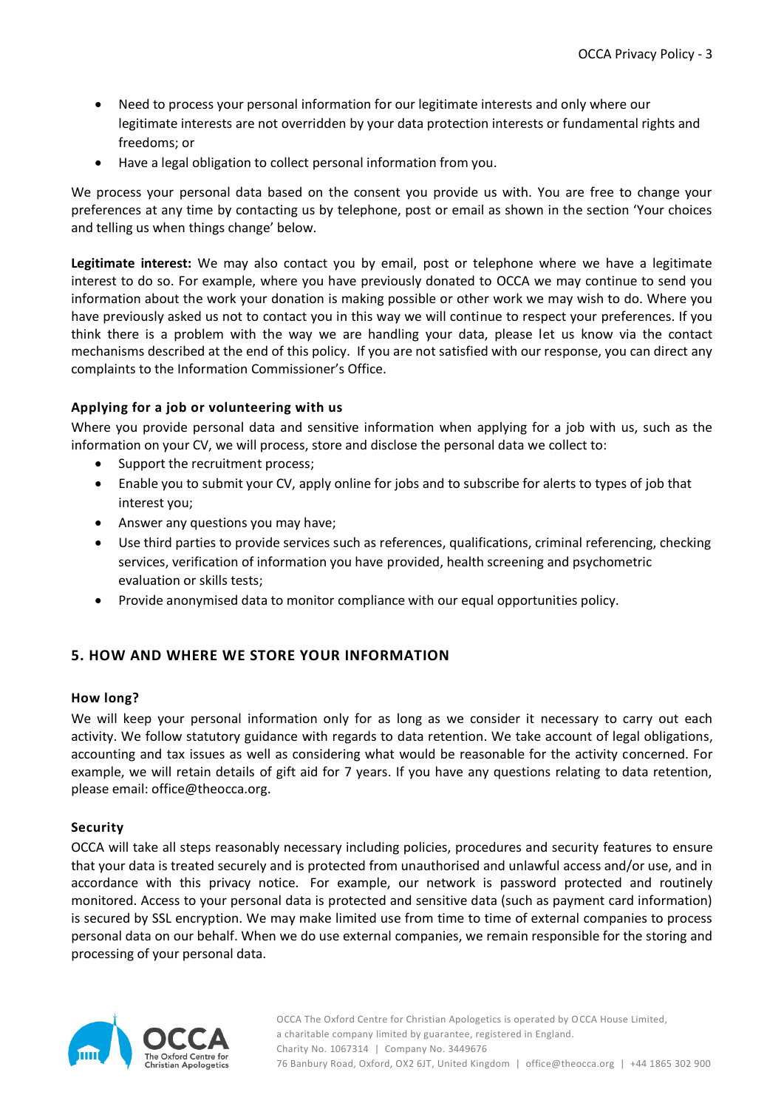- Need to process your personal information for our legitimate interests and only where our legitimate interests are not overridden by your data protection interests or fundamental rights and freedoms; or
- Have a legal obligation to collect personal information from you.

We process your personal data based on the consent you provide us with. You are free to change your preferences at any time by contacting us by telephone, post or email as shown in the section 'Your choices and telling us when things change' below.

**Legitimate interest:** We may also contact you by email, post or telephone where we have a legitimate interest to do so. For example, where you have previously donated to OCCA we may continue to send you information about the work your donation is making possible or other work we may wish to do. Where you have previously asked us not to contact you in this way we will continue to respect your preferences. If you think there is a problem with the way we are handling your data, please let us know via the contact mechanisms described at the end of this policy. If you are not satisfied with our response, you can direct any complaints to the Information Commissioner's Office.

## **Applying for a job or volunteering with us**

Where you provide personal data and sensitive information when applying for a job with us, such as the information on your CV, we will process, store and disclose the personal data we collect to:

- Support the recruitment process;
- Enable you to submit your CV, apply online for jobs and to subscribe for alerts to types of job that interest you;
- Answer any questions you may have;
- Use third parties to provide services such as references, qualifications, criminal referencing, checking services, verification of information you have provided, health screening and psychometric evaluation or skills tests;
- Provide anonymised data to monitor compliance with our equal opportunities policy.

## <span id="page-2-0"></span>**5. HOW AND WHERE WE STORE YOUR INFORMATION**

#### **How long?**

We will keep your personal information only for as long as we consider it necessary to carry out each activity. We follow statutory guidance with regards to data retention. We take account of legal obligations, accounting and tax issues as well as considering what would be reasonable for the activity concerned. For example, we will retain details of gift aid for 7 years. If you have any questions relating to data retention, please email: office@theocca.org.

#### **Security**

OCCA will take all steps reasonably necessary including policies, procedures and security features to ensure that your data is treated securely and is protected from unauthorised and unlawful access and/or use, and in accordance with this privacy notice. For example, our network is password protected and routinely monitored. Access to your personal data is protected and sensitive data (such as payment card information) is secured by SSL encryption. We may make limited use from time to time of external companies to process personal data on our behalf. When we do use external companies, we remain responsible for the storing and processing of your personal data.

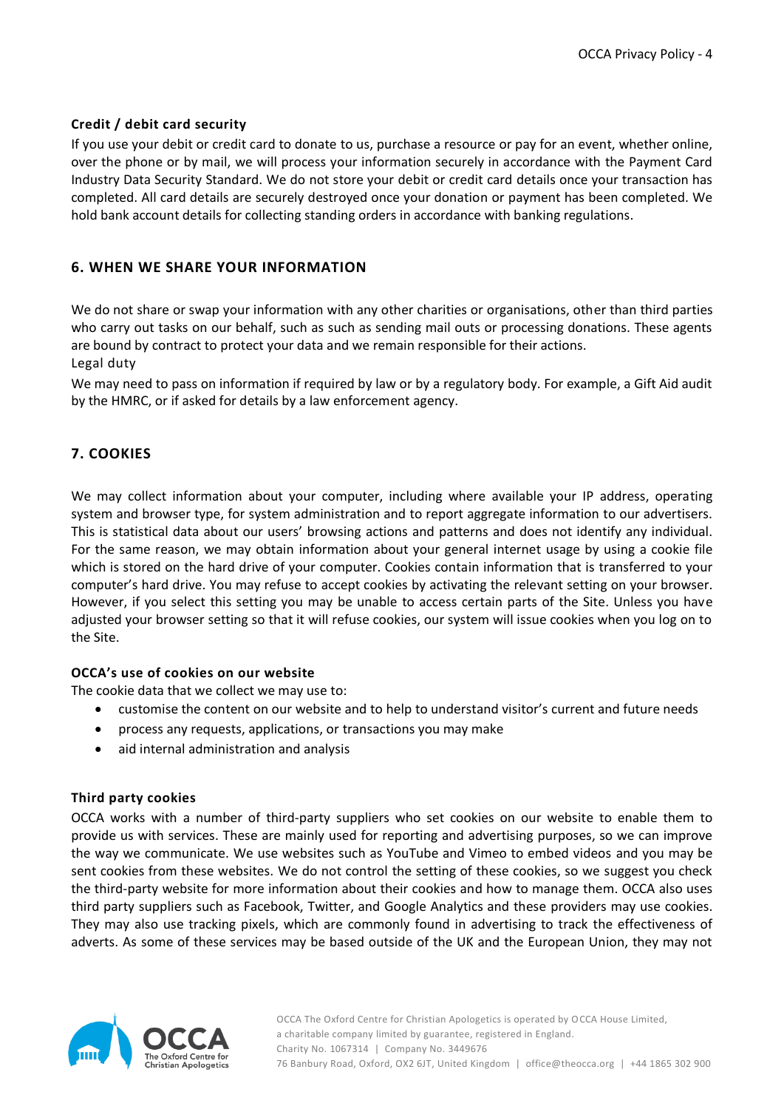## **Credit / debit card security**

If you use your debit or credit card to donate to us, purchase a resource or pay for an event, whether online, over the phone or by mail, we will process your information securely in accordance with the Payment Card Industry Data Security Standard. We do not store your debit or credit card details once your transaction has completed. All card details are securely destroyed once your donation or payment has been completed. We hold bank account details for collecting standing orders in accordance with banking regulations.

# <span id="page-3-0"></span>**6. WHEN WE SHARE YOUR INFORMATION**

We do not share or swap your information with any other charities or organisations, other than third parties who carry out tasks on our behalf, such as such as sending mail outs or processing donations. These agents are bound by contract to protect your data and we remain responsible for their actions. Legal duty

<span id="page-3-1"></span>We may need to pass on information if required by law or by a regulatory body. For example, a Gift Aid audit by the HMRC, or if asked for details by a law enforcement agency.

# <span id="page-3-2"></span>**7. COOKIES**

We may collect information about your computer, including where available your IP address, operating system and browser type, for system administration and to report aggregate information to our advertisers. This is statistical data about our users' browsing actions and patterns and does not identify any individual. For the same reason, we may obtain information about your general internet usage by using a cookie file which is stored on the hard drive of your computer. Cookies contain information that is transferred to your computer's hard drive. You may refuse to accept cookies by activating the relevant setting on your browser. However, if you select this setting you may be unable to access certain parts of the Site. Unless you have adjusted your browser setting so that it will refuse cookies, our system will issue cookies when you log on to the Site.

#### **OCCA's use of cookies on our website**

The cookie data that we collect we may use to:

- customise the content on our website and to help to understand visitor's current and future needs
- process any requests, applications, or transactions you may make
- aid internal administration and analysis

#### **Third party cookies**

OCCA works with a number of third-party suppliers who set cookies on our website to enable them to provide us with services. These are mainly used for reporting and advertising purposes, so we can improve the way we communicate. We use websites such as YouTube and Vimeo to embed videos and you may be sent cookies from these websites. We do not control the setting of these cookies, so we suggest you check the third-party website for more information about their cookies and how to manage them. OCCA also uses third party suppliers such as Facebook, Twitter, and Google Analytics and these providers may use cookies. They may also use tracking pixels, which are commonly found in advertising to track the effectiveness of adverts. As some of these services may be based outside of the UK and the European Union, they may not

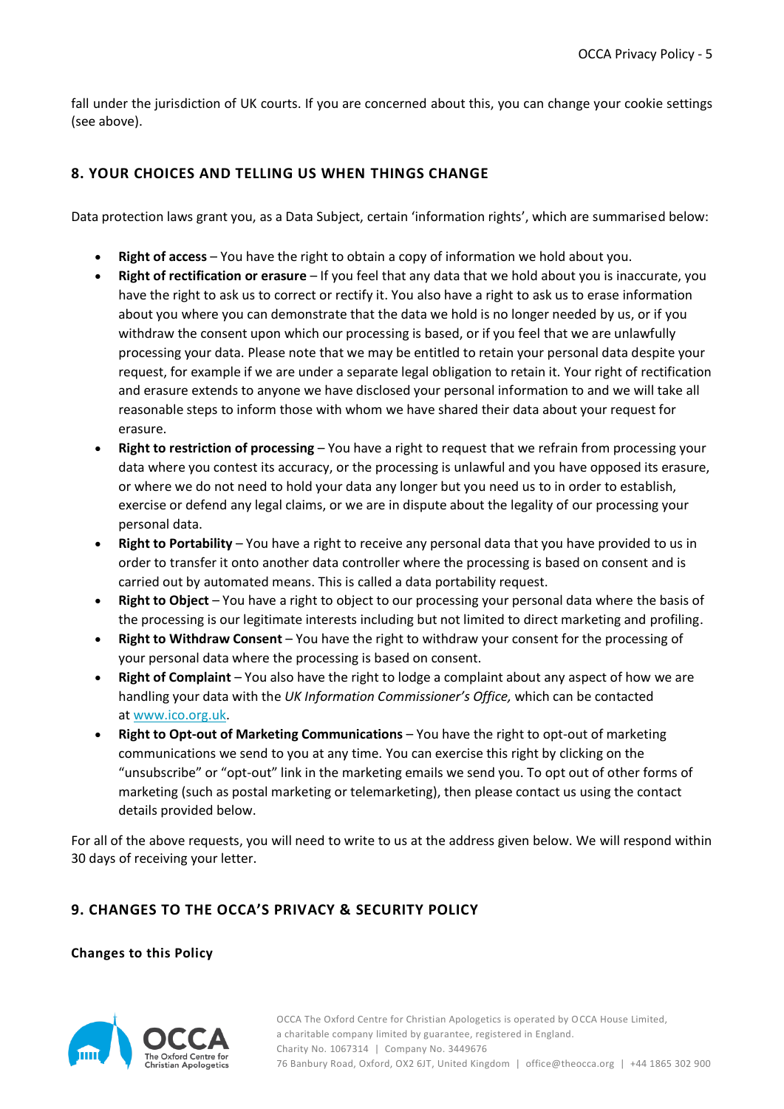fall under the jurisdiction of UK courts. If you are concerned about this, you can change your cookie settings (see above).

## <span id="page-4-0"></span>**8. YOUR CHOICES AND TELLING US WHEN THINGS CHANGE**

Data protection laws grant you, as a Data Subject, certain 'information rights', which are summarised below:

- **Right of access** You have the right to obtain a copy of information we hold about you.
- **Right of rectification or erasure** If you feel that any data that we hold about you is inaccurate, you have the right to ask us to correct or rectify it. You also have a right to ask us to erase information about you where you can demonstrate that the data we hold is no longer needed by us, or if you withdraw the consent upon which our processing is based, or if you feel that we are unlawfully processing your data. Please note that we may be entitled to retain your personal data despite your request, for example if we are under a separate legal obligation to retain it. Your right of rectification and erasure extends to anyone we have disclosed your personal information to and we will take all reasonable steps to inform those with whom we have shared their data about your request for erasure.
- **Right to restriction of processing** You have a right to request that we refrain from processing your data where you contest its accuracy, or the processing is unlawful and you have opposed its erasure, or where we do not need to hold your data any longer but you need us to in order to establish, exercise or defend any legal claims, or we are in dispute about the legality of our processing your personal data.
- **Right to Portability** You have a right to receive any personal data that you have provided to us in order to transfer it onto another data controller where the processing is based on consent and is carried out by automated means. This is called a data portability request.
- **Right to Object** You have a right to object to our processing your personal data where the basis of the processing is our legitimate interests including but not limited to direct marketing and profiling.
- **Right to Withdraw Consent** You have the right to withdraw your consent for the processing of your personal data where the processing is based on consent.
- **Right of Complaint** You also have the right to lodge a complaint about any aspect of how we are handling your data with the *UK Information Commissioner's Office,* which can be contacted at [www.ico.org.uk.](https://ico.org.uk/)
- **Right to Opt-out of Marketing Communications** You have the right to opt-out of marketing communications we send to you at any time. You can exercise this right by clicking on the "unsubscribe" or "opt-out" link in the marketing emails we send you. To opt out of other forms of marketing (such as postal marketing or telemarketing), then please contact us using the contact details provided below.

For all of the above requests, you will need to write to us at the address given below. We will respond within 30 days of receiving your letter.

# <span id="page-4-1"></span>**9. CHANGES TO THE OCCA'S PRIVACY & SECURITY POLICY**

**Changes to this Policy**